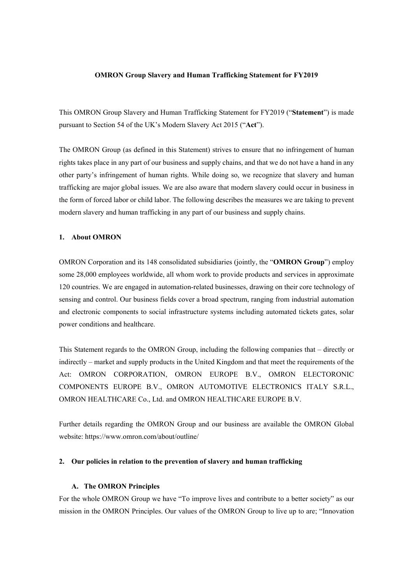# **OMRON Group Slavery and Human Trafficking Statement for FY2019**

This OMRON Group Slavery and Human Trafficking Statement for FY2019 ("**Statement**") is made pursuant to Section 54 of the UK's Modern Slavery Act 2015 ("**Act**").

The OMRON Group (as defined in this Statement) strives to ensure that no infringement of human rights takes place in any part of our business and supply chains, and that we do not have a hand in any other party's infringement of human rights. While doing so, we recognize that slavery and human trafficking are major global issues. We are also aware that modern slavery could occur in business in the form of forced labor or child labor. The following describes the measures we are taking to prevent modern slavery and human trafficking in any part of our business and supply chains.

# **1. About OMRON**

OMRON Corporation and its 148 consolidated subsidiaries (jointly, the "**OMRON Group**") employ some 28,000 employees worldwide, all whom work to provide products and services in approximate 120 countries. We are engaged in automation-related businesses, drawing on their core technology of sensing and control. Our business fields cover a broad spectrum, ranging from industrial automation and electronic components to social infrastructure systems including automated tickets gates, solar power conditions and healthcare.

This Statement regards to the OMRON Group, including the following companies that – directly or indirectly – market and supply products in the United Kingdom and that meet the requirements of the Act: OMRON CORPORATION, OMRON EUROPE B.V., OMRON ELECTORONIC COMPONENTS EUROPE B.V., OMRON AUTOMOTIVE ELECTRONICS ITALY S.R.L., OMRON HEALTHCARE Co., Ltd. and OMRON HEALTHCARE EUROPE B.V.

Further details regarding the OMRON Group and our business are available the OMRON Global website: https://www.omron.com/about/outline/

# **2. Our policies in relation to the prevention of slavery and human trafficking**

# **A. The OMRON Principles**

For the whole OMRON Group we have "To improve lives and contribute to a better society" as our mission in the OMRON Principles. Our values of the OMRON Group to live up to are; "Innovation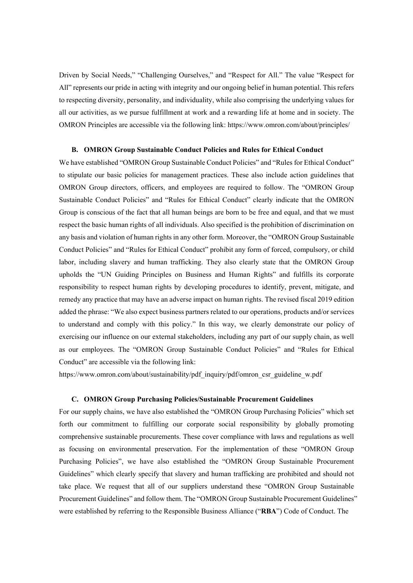Driven by Social Needs," "Challenging Ourselves," and "Respect for All." The value "Respect for All" represents our pride in acting with integrity and our ongoing belief in human potential. This refers to respecting diversity, personality, and individuality, while also comprising the underlying values for all our activities, as we pursue fulfillment at work and a rewarding life at home and in society. The OMRON Principles are accessible via the following link: https://www.omron.com/about/principles/

# **B. OMRON Group Sustainable Conduct Policies and Rules for Ethical Conduct**

We have established "OMRON Group Sustainable Conduct Policies" and "Rules for Ethical Conduct" to stipulate our basic policies for management practices. These also include action guidelines that OMRON Group directors, officers, and employees are required to follow. The "OMRON Group Sustainable Conduct Policies" and "Rules for Ethical Conduct" clearly indicate that the OMRON Group is conscious of the fact that all human beings are born to be free and equal, and that we must respect the basic human rights of all individuals. Also specified is the prohibition of discrimination on any basis and violation of human rights in any other form. Moreover, the "OMRON Group Sustainable Conduct Policies" and "Rules for Ethical Conduct" prohibit any form of forced, compulsory, or child labor, including slavery and human trafficking. They also clearly state that the OMRON Group upholds the "UN Guiding Principles on Business and Human Rights" and fulfills its corporate responsibility to respect human rights by developing procedures to identify, prevent, mitigate, and remedy any practice that may have an adverse impact on human rights. The revised fiscal 2019 edition added the phrase: "We also expect business partners related to our operations, products and/or services to understand and comply with this policy." In this way, we clearly demonstrate our policy of exercising our influence on our external stakeholders, including any part of our supply chain, as well as our employees. The "OMRON Group Sustainable Conduct Policies" and "Rules for Ethical Conduct" are accessible via the following link:

https://www.omron.com/about/sustainability/pdf\_inquiry/pdf/omron\_csr\_guideline\_w.pdf

# **C. OMRON Group Purchasing Policies/Sustainable Procurement Guidelines**

For our supply chains, we have also established the "OMRON Group Purchasing Policies" which set forth our commitment to fulfilling our corporate social responsibility by globally promoting comprehensive sustainable procurements. These cover compliance with laws and regulations as well as focusing on environmental preservation. For the implementation of these "OMRON Group Purchasing Policies", we have also established the "OMRON Group Sustainable Procurement Guidelines" which clearly specify that slavery and human trafficking are prohibited and should not take place. We request that all of our suppliers understand these "OMRON Group Sustainable Procurement Guidelines" and follow them. The "OMRON Group Sustainable Procurement Guidelines" were established by referring to the Responsible Business Alliance ("**RBA**") Code of Conduct. The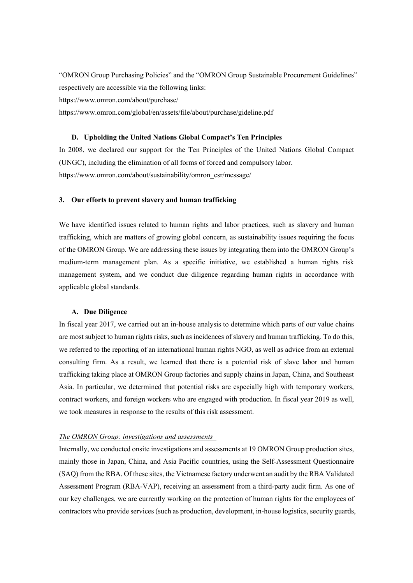"OMRON Group Purchasing Policies" and the "OMRON Group Sustainable Procurement Guidelines" respectively are accessible via the following links: https://www.omron.com/about/purchase/ https://www.omron.com/global/en/assets/file/about/purchase/gideline.pdf

# **D. Upholding the United Nations Global Compact's Ten Principles**

In 2008, we declared our support for the Ten Principles of the United Nations Global Compact (UNGC), including the elimination of all forms of forced and compulsory labor. https://www.omron.com/about/sustainability/omron\_csr/message/

### **3. Our efforts to prevent slavery and human trafficking**

We have identified issues related to human rights and labor practices, such as slavery and human trafficking, which are matters of growing global concern, as sustainability issues requiring the focus of the OMRON Group. We are addressing these issues by integrating them into the OMRON Group's medium-term management plan. As a specific initiative, we established a human rights risk management system, and we conduct due diligence regarding human rights in accordance with applicable global standards.

#### **A. Due Diligence**

In fiscal year 2017, we carried out an in-house analysis to determine which parts of our value chains are most subject to human rights risks, such as incidences of slavery and human trafficking. To do this, we referred to the reporting of an international human rights NGO, as well as advice from an external consulting firm. As a result, we learned that there is a potential risk of slave labor and human trafficking taking place at OMRON Group factories and supply chains in Japan, China, and Southeast Asia. In particular, we determined that potential risks are especially high with temporary workers, contract workers, and foreign workers who are engaged with production. In fiscal year 2019 as well, we took measures in response to the results of this risk assessment.

### *The OMRON Group: investigations and assessments*

Internally, we conducted onsite investigations and assessments at 19 OMRON Group production sites, mainly those in Japan, China, and Asia Pacific countries, using the Self-Assessment Questionnaire (SAQ) from the RBA. Of these sites, the Vietnamese factory underwent an audit by the RBA Validated Assessment Program (RBA-VAP), receiving an assessment from a third-party audit firm. As one of our key challenges, we are currently working on the protection of human rights for the employees of contractors who provide services (such as production, development, in-house logistics, security guards,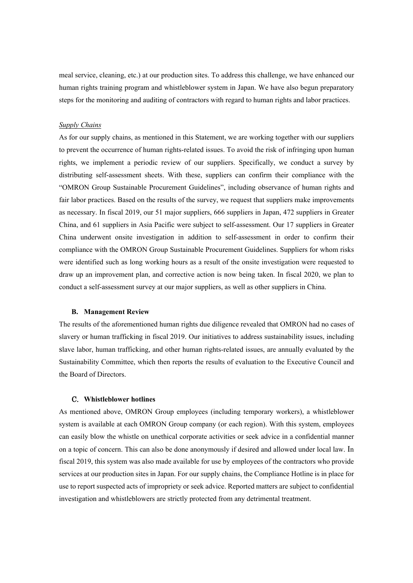meal service, cleaning, etc.) at our production sites. To address this challenge, we have enhanced our human rights training program and whistleblower system in Japan. We have also begun preparatory steps for the monitoring and auditing of contractors with regard to human rights and labor practices.

# *Supply Chains*

As for our supply chains, as mentioned in this Statement, we are working together with our suppliers to prevent the occurrence of human rights-related issues. To avoid the risk of infringing upon human rights, we implement a periodic review of our suppliers. Specifically, we conduct a survey by distributing self-assessment sheets. With these, suppliers can confirm their compliance with the "OMRON Group Sustainable Procurement Guidelines", including observance of human rights and fair labor practices. Based on the results of the survey, we request that suppliers make improvements as necessary. In fiscal 2019, our 51 major suppliers, 666 suppliers in Japan, 472 suppliers in Greater China, and 61 suppliers in Asia Pacific were subject to self-assessment. Our 17 suppliers in Greater China underwent onsite investigation in addition to self-assessment in order to confirm their compliance with the OMRON Group Sustainable Procurement Guidelines. Suppliers for whom risks were identified such as long working hours as a result of the onsite investigation were requested to draw up an improvement plan, and corrective action is now being taken. In fiscal 2020, we plan to conduct a self-assessment survey at our major suppliers, as well as other suppliers in China.

#### **B. Management Review**

The results of the aforementioned human rights due diligence revealed that OMRON had no cases of slavery or human trafficking in fiscal 2019. Our initiatives to address sustainability issues, including slave labor, human trafficking, and other human rights-related issues, are annually evaluated by the Sustainability Committee, which then reports the results of evaluation to the Executive Council and the Board of Directors.

### C. **Whistleblower hotlines**

As mentioned above, OMRON Group employees (including temporary workers), a whistleblower system is available at each OMRON Group company (or each region). With this system, employees can easily blow the whistle on unethical corporate activities or seek advice in a confidential manner on a topic of concern. This can also be done anonymously if desired and allowed under local law. In fiscal 2019, this system was also made available for use by employees of the contractors who provide services at our production sites in Japan. For our supply chains, the Compliance Hotline is in place for use to report suspected acts of impropriety or seek advice. Reported matters are subject to confidential investigation and whistleblowers are strictly protected from any detrimental treatment.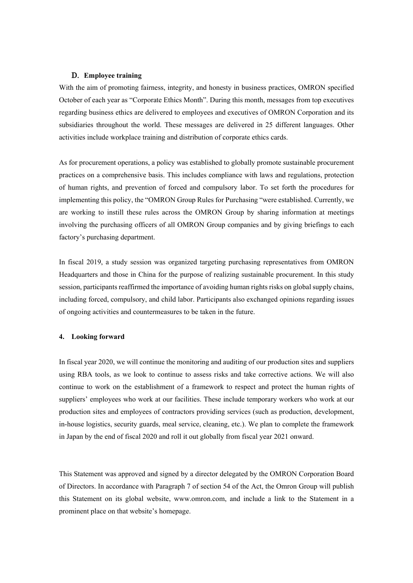# D. **Employee training**

With the aim of promoting fairness, integrity, and honesty in business practices, OMRON specified October of each year as "Corporate Ethics Month". During this month, messages from top executives regarding business ethics are delivered to employees and executives of OMRON Corporation and its subsidiaries throughout the world. These messages are delivered in 25 different languages. Other activities include workplace training and distribution of corporate ethics cards.

As for procurement operations, a policy was established to globally promote sustainable procurement practices on a comprehensive basis. This includes compliance with laws and regulations, protection of human rights, and prevention of forced and compulsory labor. To set forth the procedures for implementing this policy, the "OMRON Group Rules for Purchasing "were established. Currently, we are working to instill these rules across the OMRON Group by sharing information at meetings involving the purchasing officers of all OMRON Group companies and by giving briefings to each factory's purchasing department.

In fiscal 2019, a study session was organized targeting purchasing representatives from OMRON Headquarters and those in China for the purpose of realizing sustainable procurement. In this study session, participants reaffirmed the importance of avoiding human rights risks on global supply chains, including forced, compulsory, and child labor. Participants also exchanged opinions regarding issues of ongoing activities and countermeasures to be taken in the future.

# **4. Looking forward**

In fiscal year 2020, we will continue the monitoring and auditing of our production sites and suppliers using RBA tools, as we look to continue to assess risks and take corrective actions. We will also continue to work on the establishment of a framework to respect and protect the human rights of suppliers' employees who work at our facilities. These include temporary workers who work at our production sites and employees of contractors providing services (such as production, development, in-house logistics, security guards, meal service, cleaning, etc.). We plan to complete the framework in Japan by the end of fiscal 2020 and roll it out globally from fiscal year 2021 onward.

This Statement was approved and signed by a director delegated by the OMRON Corporation Board of Directors. In accordance with Paragraph 7 of section 54 of the Act, the Omron Group will publish this Statement on its global website, www.omron.com, and include a link to the Statement in a prominent place on that website's homepage.